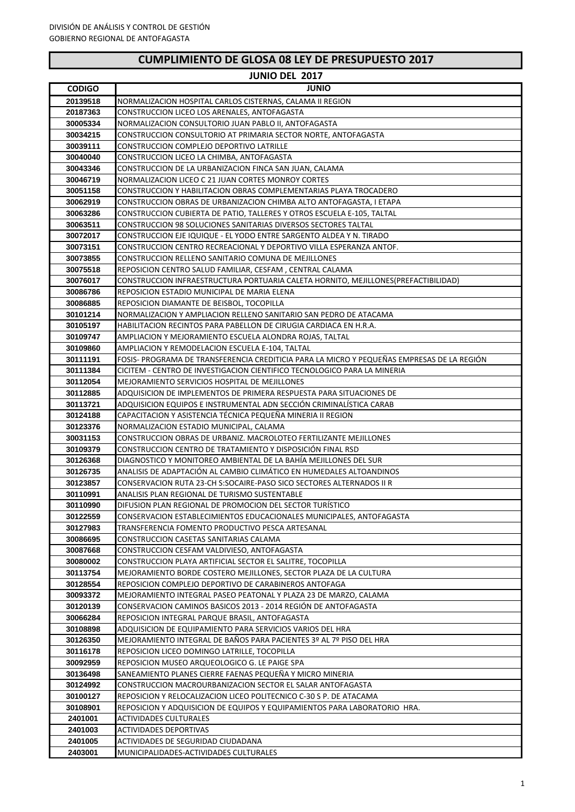# **CUMPLIMIENTO DE GLOSA 08 LEY DE PRESUPUESTO 2017**

|                      | <b>JUNIO DEL 2017</b>                                                                                        |
|----------------------|--------------------------------------------------------------------------------------------------------------|
| <b>CODIGO</b>        | <b>JUNIO</b>                                                                                                 |
| 20139518             | NORMALIZACION HOSPITAL CARLOS CISTERNAS, CALAMA II REGION                                                    |
| 20187363             | CONSTRUCCION LICEO LOS ARENALES, ANTOFAGASTA                                                                 |
| 30005334             | NORMALIZACION CONSULTORIO JUAN PABLO II, ANTOFAGASTA                                                         |
| 30034215             | CONSTRUCCION CONSULTORIO AT PRIMARIA SECTOR NORTE, ANTOFAGASTA                                               |
| 30039111             | CONSTRUCCION COMPLEJO DEPORTIVO LATRILLE                                                                     |
| 30040040             | CONSTRUCCION LICEO LA CHIMBA, ANTOFAGASTA                                                                    |
| 30043346             | CONSTRUCCION DE LA URBANIZACION FINCA SAN JUAN, CALAMA                                                       |
| 30046719             | NORMALIZACION LICEO C 21 JUAN CORTES MONROY CORTES                                                           |
| 30051158             | CONSTRUCCION Y HABILITACION OBRAS COMPLEMENTARIAS PLAYA TROCADERO                                            |
| 30062919             | CONSTRUCCION OBRAS DE URBANIZACION CHIMBA ALTO ANTOFAGASTA, I ETAPA                                          |
| 30063286             | CONSTRUCCION CUBIERTA DE PATIO, TALLERES Y OTROS ESCUELA E-105, TALTAL                                       |
| 30063511             | CONSTRUCCION 98 SOLUCIONES SANITARIAS DIVERSOS SECTORES TALTAL                                               |
| 30072017             | CONSTRUCCION EJE IQUIQUE - EL YODO ENTRE SARGENTO ALDEA Y N. TIRADO                                          |
| 30073151             | CONSTRUCCION CENTRO RECREACIONAL Y DEPORTIVO VILLA ESPERANZA ANTOF.                                          |
| 30073855             | CONSTRUCCION RELLENO SANITARIO COMUNA DE MEJILLONES                                                          |
| 30075518             | REPOSICION CENTRO SALUD FAMILIAR, CESFAM, CENTRAL CALAMA                                                     |
| 30076017             | CONSTRUCCION INFRAESTRUCTURA PORTUARIA CALETA HORNITO, MEJILLONES(PREFACTIBILIDAD)                           |
| 30086786             | REPOSICION ESTADIO MUNICIPAL DE MARIA ELENA                                                                  |
| 30086885             | REPOSICION DIAMANTE DE BEISBOL, TOCOPILLA                                                                    |
| 30101214             | NORMALIZACION Y AMPLIACION RELLENO SANITARIO SAN PEDRO DE ATACAMA                                            |
| 30105197             | HABILITACION RECINTOS PARA PABELLON DE CIRUGIA CARDIACA EN H.R.A.                                            |
| 30109747             | AMPLIACION Y MEJORAMIENTO ESCUELA ALONDRA ROJAS, TALTAL                                                      |
| 30109860             | AMPLIACION Y REMODELACION ESCUELA E-104, TALTAL                                                              |
| 30111191             | FOSIS- PROGRAMA DE TRANSFERENCIA CREDITICIA PARA LA MICRO Y PEQUEÑAS EMPRESAS DE LA REGIÓN                   |
| 30111384             | CICITEM - CENTRO DE INVESTIGACION CIENTIFICO TECNOLOGICO PARA LA MINERIA                                     |
| 30112054             | MEJORAMIENTO SERVICIOS HOSPITAL DE MEJILLONES                                                                |
| 30112885             | ADQUISICION DE IMPLEMENTOS DE PRIMERA RESPUESTA PARA SITUACIONES DE                                          |
| 30113721             | ADQUISICION EQUIPOS E INSTRUMENTAL ADN SECCIÓN CRIMINALÍSTICA CARAB                                          |
| 30124188             | CAPACITACION Y ASISTENCIA TÉCNICA PEQUEÑA MINERIA II REGION                                                  |
| 30123376<br>30031153 | NORMALIZACION ESTADIO MUNICIPAL, CALAMA<br>CONSTRUCCION OBRAS DE URBANIZ. MACROLOTEO FERTILIZANTE MEJILLONES |
| 30109379             | CONSTRUCCION CENTRO DE TRATAMIENTO Y DISPOSICIÓN FINAL RSD                                                   |
| 30126368             | DIAGNOSTICO Y MONITOREO AMBIENTAL DE LA BAHÍA MEJILLONES DEL SUR                                             |
| 30126735             | ANALISIS DE ADAPTACIÓN AL CAMBIO CLIMÁTICO EN HUMEDALES ALTOANDINOS                                          |
| 30123857             | CONSERVACION RUTA 23-CH S:SOCAIRE-PASO SICO SECTORES ALTERNADOS II R                                         |
| 30110991             | ANALISIS PLAN REGIONAL DE TURISMO SUSTENTABLE                                                                |
| 30110990             | DIFUSION PLAN REGIONAL DE PROMOCION DEL SECTOR TURÍSTICO                                                     |
| 30122559             | CONSERVACION ESTABLECIMIENTOS EDUCACIONALES MUNICIPALES, ANTOFAGASTA                                         |
| 30127983             | TRANSFERENCIA FOMENTO PRODUCTIVO PESCA ARTESANAL                                                             |
| 30086695             | CONSTRUCCION CASETAS SANITARIAS CALAMA                                                                       |
| 30087668             | CONSTRUCCION CESFAM VALDIVIESO, ANTOFAGASTA                                                                  |
| 30080002             | CONSTRUCCION PLAYA ARTIFICIAL SECTOR EL SALITRE, TOCOPILLA                                                   |
| 30113754             | MEJORAMIENTO BORDE COSTERO MEJILLONES, SECTOR PLAZA DE LA CULTURA                                            |
| 30128554             | REPOSICION COMPLEJO DEPORTIVO DE CARABINEROS ANTOFAGA                                                        |
| 30093372             | MEJORAMIENTO INTEGRAL PASEO PEATONAL Y PLAZA 23 DE MARZO, CALAMA                                             |
| 30120139             | CONSERVACION CAMINOS BASICOS 2013 - 2014 REGIÓN DE ANTOFAGASTA                                               |
| 30066284             | REPOSICION INTEGRAL PARQUE BRASIL, ANTOFAGASTA                                                               |
| 30108898             | ADQUISICION DE EQUIPAMIENTO PARA SERVICIOS VARIOS DEL HRA                                                    |
| 30126350             | MEJORAMIENTO INTEGRAL DE BAÑOS PARA PACIENTES 3º AL 7º PISO DEL HRA                                          |
| 30116178             | REPOSICION LICEO DOMINGO LATRILLE, TOCOPILLA                                                                 |
| 30092959             | REPOSICION MUSEO ARQUEOLOGICO G. LE PAIGE SPA                                                                |
| 30136498             | SANEAMIENTO PLANES CIERRE FAENAS PEQUEÑA Y MICRO MINERIA                                                     |
| 30124992             | CONSTRUCCION MACROURBANIZACION SECTOR EL SALAR ANTOFAGASTA                                                   |
| 30100127             | REPOSICION Y RELOCALIZACION LICEO POLITECNICO C-30 S P. DE ATACAMA                                           |
| 30108901             | REPOSICION Y ADQUISICION DE EQUIPOS Y EQUIPAMIENTOS PARA LABORATORIO HRA.                                    |
| 2401001              | ACTIVIDADES CULTURALES                                                                                       |
| 2401003              | <b>ACTIVIDADES DEPORTIVAS</b>                                                                                |
| 2401005              | ACTIVIDADES DE SEGURIDAD CIUDADANA                                                                           |
| 2403001              | MUNICIPALIDADES-ACTIVIDADES CULTURALES                                                                       |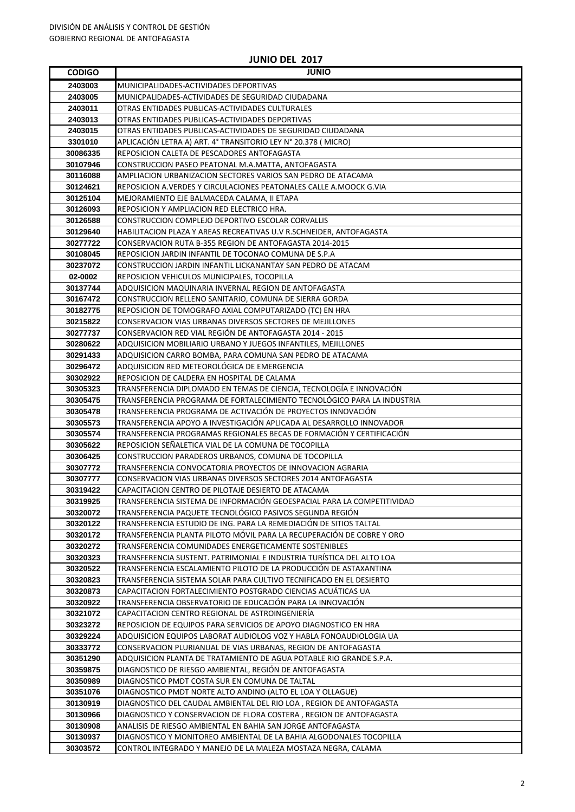#### **CODIGO JUNIO** MUNICIPALIDADES-ACTIVIDADES DEPORTIVAS MUNICPALIDADES-ACTIVIDADES DE SEGURIDAD CIUDADANA OTRAS ENTIDADES PUBLICAS-ACTIVIDADES CULTURALES OTRAS ENTIDADES PUBLICAS-ACTIVIDADES DEPORTIVAS OTRAS ENTIDADES PUBLICAS-ACTIVIDADES DE SEGURIDAD CIUDADANA APLICACIÓN LETRA A) ART. 4° TRANSITORIO LEY N° 20.378 ( MICRO) REPOSICION CALETA DE PESCADORES ANTOFAGASTA CONSTRUCCION PASEO PEATONAL M.A.MATTA, ANTOFAGASTA AMPLIACION URBANIZACION SECTORES VARIOS SAN PEDRO DE ATACAMA REPOSICION A.VERDES Y CIRCULACIONES PEATONALES CALLE A.MOOCK G.VIA MEJORAMIENTO EJE BALMACEDA CALAMA, II ETAPA REPOSICION Y AMPLIACION RED ELECTRICO HRA. CONSTRUCCION COMPLEJO DEPORTIVO ESCOLAR CORVALLIS HABILITACION PLAZA Y AREAS RECREATIVAS U.V R.SCHNEIDER, ANTOFAGASTA CONSERVACION RUTA B-355 REGION DE ANTOFAGASTA 2014-2015 REPOSICION JARDIN INFANTIL DE TOCONAO COMUNA DE S.P.A CONSTRUCCION JARDIN INFANTIL LICKANANTAY SAN PEDRO DE ATACAM **02-0002** REPOSICION VEHICULOS MUNICIPALES, TOCOPILLA ADQUISICION MAQUINARIA INVERNAL REGION DE ANTOFAGASTA CONSTRUCCION RELLENO SANITARIO, COMUNA DE SIERRA GORDA REPOSICION DE TOMOGRAFO AXIAL COMPUTARIZADO (TC) EN HRA CONSERVACION VIAS URBANAS DIVERSOS SECTORES DE MEJILLONES CONSERVACION RED VIAL REGIÓN DE ANTOFAGASTA 2014 - 2015 ADQUISICION MOBILIARIO URBANO Y JUEGOS INFANTILES, MEJILLONES ADQUISICION CARRO BOMBA, PARA COMUNA SAN PEDRO DE ATACAMA ADQUISICION RED METEOROLÓGICA DE EMERGENCIA REPOSICION DE CALDERA EN HOSPITAL DE CALAMA TRANSFERENCIA DIPLOMADO EN TEMAS DE CIENCIA, TECNOLOGÍA E INNOVACIÓN TRANSFERENCIA PROGRAMA DE FORTALECIMIENTO TECNOLÓGICO PARA LA INDUSTRIA TRANSFERENCIA PROGRAMA DE ACTIVACIÓN DE PROYECTOS INNOVACIÓN TRANSFERENCIA APOYO A INVESTIGACIÓN APLICADA AL DESARROLLO INNOVADOR TRANSFERENCIA PROGRAMAS REGIONALES BECAS DE FORMACIÓN Y CERTIFICACIÓN REPOSICION SEÑALETICA VIAL DE LA COMUNA DE TOCOPILLA CONSTRUCCION PARADEROS URBANOS, COMUNA DE TOCOPILLA TRANSFERENCIA CONVOCATORIA PROYECTOS DE INNOVACION AGRARIA CONSERVACION VIAS URBANAS DIVERSOS SECTORES 2014 ANTOFAGASTA CAPACITACION CENTRO DE PILOTAJE DESIERTO DE ATACAMA TRANSFERENCIA SISTEMA DE INFORMACIÓN GEOESPACIAL PARA LA COMPETITIVIDAD TRANSFERENCIA PAQUETE TECNOLÓGICO PASIVOS SEGUNDA REGIÓN TRANSFERENCIA ESTUDIO DE ING. PARA LA REMEDIACIÓN DE SITIOS TALTAL TRANSFERENCIA PLANTA PILOTO MÓVIL PARA LA RECUPERACIÓN DE COBRE Y ORO TRANSFERENCIA COMUNIDADES ENERGETICAMENTE SOSTENIBLES TRANSFERENCIA SUSTENT. PATRIMONIAL E INDUSTRIA TURÍSTICA DEL ALTO LOA TRANSFERENCIA ESCALAMIENTO PILOTO DE LA PRODUCCIÓN DE ASTAXANTINA TRANSFERENCIA SISTEMA SOLAR PARA CULTIVO TECNIFICADO EN EL DESIERTO CAPACITACION FORTALECIMIENTO POSTGRADO CIENCIAS ACUÁTICAS UA TRANSFERENCIA OBSERVATORIO DE EDUCACIÓN PARA LA INNOVACIÓN CAPACITACION CENTRO REGIONAL DE ASTROINGENIERÍA REPOSICION DE EQUIPOS PARA SERVICIOS DE APOYO DIAGNOSTICO EN HRA ADQUISICION EQUIPOS LABORAT AUDIOLOG VOZ Y HABLA FONOAUDIOLOGIA UA CONSERVACION PLURIANUAL DE VIAS URBANAS, REGION DE ANTOFAGASTA ADQUISICION PLANTA DE TRATAMIENTO DE AGUA POTABLE RIO GRANDE S.P.A. DIAGNOSTICO DE RIESGO AMBIENTAL, REGIÓN DE ANTOFAGASTA DIAGNOSTICO PMDT COSTA SUR EN COMUNA DE TALTAL DIAGNOSTICO PMDT NORTE ALTO ANDINO (ALTO EL LOA Y OLLAGUE) DIAGNOSTICO DEL CAUDAL AMBIENTAL DEL RIO LOA , REGION DE ANTOFAGASTA DIAGNOSTICO Y CONSERVACION DE FLORA COSTERA , REGION DE ANTOFAGASTA ANALISIS DE RIESGO AMBIENTAL EN BAHIA SAN JORGE ANTOFAGASTA DIAGNOSTICO Y MONITOREO AMBIENTAL DE LA BAHIA ALGODONALES TOCOPILLA CONTROL INTEGRADO Y MANEJO DE LA MALEZA MOSTAZA NEGRA, CALAMA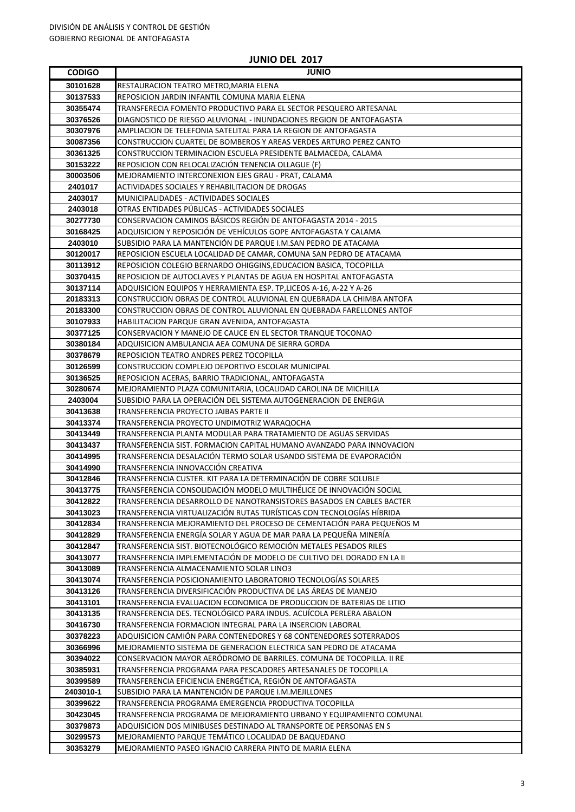| <b>CODIGO</b> | <b>JUNIO</b>                                                           |
|---------------|------------------------------------------------------------------------|
| 30101628      | RESTAURACION TEATRO METRO, MARIA ELENA                                 |
| 30137533      | REPOSICION JARDIN INFANTIL COMUNA MARIA ELENA                          |
| 30355474      | TRANSFERECIA FOMENTO PRODUCTIVO PARA EL SECTOR PESQUERO ARTESANAL      |
| 30376526      | DIAGNOSTICO DE RIESGO ALUVIONAL - INUNDACIONES REGION DE ANTOFAGASTA   |
| 30307976      | AMPLIACION DE TELEFONIA SATELITAL PARA LA REGION DE ANTOFAGASTA        |
| 30087356      | CONSTRUCCION CUARTEL DE BOMBEROS Y AREAS VERDES ARTURO PEREZ CANTO     |
| 30361325      | CONSTRUCCION TERMINACION ESCUELA PRESIDENTE BALMACEDA, CALAMA          |
| 30153222      | REPOSICION CON RELOCALIZACIÓN TENENCIA OLLAGUE (F)                     |
| 30003506      | MEJORAMIENTO INTERCONEXION EJES GRAU - PRAT, CALAMA                    |
| 2401017       | ACTIVIDADES SOCIALES Y REHABILITACION DE DROGAS                        |
| 2403017       | MUNICIPALIDADES - ACTIVIDADES SOCIALES                                 |
| 2403018       | OTRAS ENTIDADES PÚBLICAS - ACTIVIDADES SOCIALES                        |
| 30277730      | CONSERVACION CAMINOS BÁSICOS REGIÓN DE ANTOFAGASTA 2014 - 2015         |
| 30168425      | ADQUISICION Y REPOSICIÓN DE VEHÍCULOS GOPE ANTOFAGASTA Y CALAMA        |
| 2403010       | SUBSIDIO PARA LA MANTENCIÓN DE PARQUE I.M.SAN PEDRO DE ATACAMA         |
| 30120017      | REPOSICION ESCUELA LOCALIDAD DE CAMAR, COMUNA SAN PEDRO DE ATACAMA     |
| 30113912      | REPOSICION COLEGIO BERNARDO OHIGGINS,EDUCACION BASICA, TOCOPILLA       |
| 30370415      | REPOSICION DE AUTOCLAVES Y PLANTAS DE AGUA EN HOSPITAL ANTOFAGASTA     |
| 30137114      | ADQUISICION EQUIPOS Y HERRAMIENTA ESP. TP, LICEOS A-16, A-22 Y A-26    |
| 20183313      | CONSTRUCCION OBRAS DE CONTROL ALUVIONAL EN QUEBRADA LA CHIMBA ANTOFA   |
| 20183300      | CONSTRUCCION OBRAS DE CONTROL ALUVIONAL EN QUEBRADA FARELLONES ANTOF   |
| 30107933      | HABILITACION PARQUE GRAN AVENIDA, ANTOFAGASTA                          |
| 30377125      | CONSERVACION Y MANEJO DE CAUCE EN EL SECTOR TRANQUE TOCONAO            |
| 30380184      | ADQUISICION AMBULANCIA AEA COMUNA DE SIERRA GORDA                      |
| 30378679      | REPOSICION TEATRO ANDRES PEREZ TOCOPILLA                               |
| 30126599      | CONSTRUCCION COMPLEJO DEPORTIVO ESCOLAR MUNICIPAL                      |
| 30136525      | REPOSICION ACERAS, BARRIO TRADICIONAL, ANTOFAGASTA                     |
| 30280674      | MEJORAMIENTO PLAZA COMUNITARIA, LOCALIDAD CAROLINA DE MICHILLA         |
| 2403004       | SUBSIDIO PARA LA OPERACIÓN DEL SISTEMA AUTOGENERACION DE ENERGIA       |
| 30413638      | TRANSFERENCIA PROYECTO JAIBAS PARTE II                                 |
| 30413374      | TRANSFERENCIA PROYECTO UNDIMOTRIZ WARAQOCHA                            |
| 30413449      | TRANSFERENCIA PLANTA MODULAR PARA TRATAMIENTO DE AGUAS SERVIDAS        |
| 30413437      | ITRANSFERENCIA SIST. FORMACION CAPITAL HUMANO AVANZADO PARA INNOVACION |
| 30414995      | TRANSFERENCIA DESALACIÓN TERMO SOLAR USANDO SISTEMA DE EVAPORACIÓN     |
| 30414990      | TRANSFERENCIA INNOVACCIÓN CREATIVA                                     |
| 30412846      | TRANSFERENCIA CUSTER. KIT PARA LA DETERMINACIÓN DE COBRE SOLUBLE       |
| 30413775      | TRANSFERENCIA CONSOLIDACIÓN MODELO MULTIHÉLICE DE INNOVACIÓN SOCIAL    |
| 30412822      | TRANSFERENCIA DESARROLLO DE NANOTRANSISTORES BASADOS EN CABLES BACTER  |
| 30413023      | TRANSFERENCIA VIRTUALIZACIÓN RUTAS TURÍSTICAS CON TECNOLOGÍAS HÍBRIDA  |
| 30412834      | TRANSFERENCIA MEJORAMIENTO DEL PROCESO DE CEMENTACIÓN PARA PEQUEÑOS M  |
| 30412829      | TRANSFERENCIA ENERGIA SOLAR Y AGUA DE MAR PARA LA PEQUENA MINERIA      |
| 30412847      | TRANSFERENCIA SIST. BIOTECNOLÓGICO REMOCIÓN METALES PESADOS RILES      |
| 30413077      | TRANSFERENCIA IMPLEMENTACIÓN DE MODELO DE CULTIVO DEL DORADO EN LA II  |
| 30413089      | TRANSFERENCIA ALMACENAMIENTO SOLAR LINO3                               |
| 30413074      | TRANSFERENCIA POSICIONAMIENTO LABORATORIO TECNOLOGIAS SOLARES          |
| 30413126      | TRANSFERENCIA DIVERSIFICACIÓN PRODUCTIVA DE LAS ÁREAS DE MANEJO        |
| 30413101      | TRANSFERENCIA EVALUACION ECONOMICA DE PRODUCCION DE BATERIAS DE LITIO  |
| 30413135      | TRANSFERENCIA DES. TECNOLÓGICO PARA INDUS. ACUÍCOLA PERLERA ABALON     |
| 30416730      | TRANSFERENCIA FORMACION INTEGRAL PARA LA INSERCION LABORAL             |
| 30378223      | ADQUISICION CAMION PARA CONTENEDORES Y 68 CONTENEDORES SOTERRADOS      |
| 30366996      | MEJORAMIENTO SISTEMA DE GENERACION ELECTRICA SAN PEDRO DE ATACAMA      |
| 30394022      | CONSERVACION MAYOR AERÓDROMO DE BARRILES. COMUNA DE TOCOPILLA. II RE   |
| 30385931      | TRANSFERENCIA PROGRAMA PARA PESCADORES ARTESANALES DE TOCOPILLA        |
| 30399589      | TRANSFERENCIA EFICIENCIA ENERGÉTICA, REGIÓN DE ANTOFAGASTA             |
| 2403010-1     | SUBSIDIO PARA LA MANTENCIÓN DE PARQUE I.M.MEJILLONES                   |
| 30399622      | TRANSFERENCIA PROGRAMA EMERGENCIA PRODUCTIVA TOCOPILLA                 |
| 30423045      | TRANSFERENCIA PROGRAMA DE MEJORAMIENTO URBANO Y EQUIPAMIENTO COMUNAL   |
| 30379873      | ADQUISICION DOS MINIBUSES DESTINADO AL TRANSPORTE DE PERSONAS EN S     |
| 30299573      | MEJORAMIENTO PARQUE TEMÁTICO LOCALIDAD DE BAQUEDANO                    |
| 30353279      | MEJORAMIENTO PASEO IGNACIO CARRERA PINTO DE MARIA ELENA                |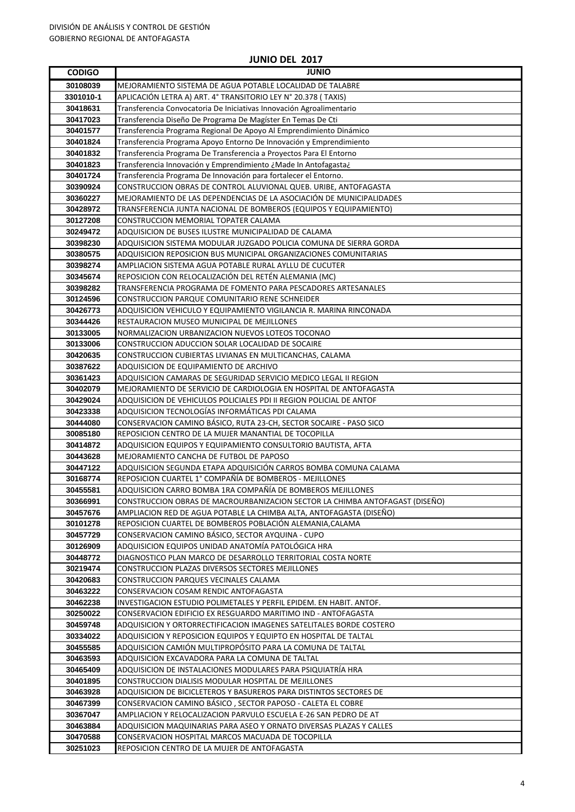| <b>CODIGO</b> | <b>JUNIO</b>                                                                 |
|---------------|------------------------------------------------------------------------------|
| 30108039      | MEJORAMIENTO SISTEMA DE AGUA POTABLE LOCALIDAD DE TALABRE                    |
| 3301010-1     | APLICACIÓN LETRA A) ART. 4° TRANSITORIO LEY N° 20.378 ( TAXIS)               |
| 30418631      | Transferencia Convocatoria De Iniciativas Innovación Agroalimentario         |
| 30417023      | Transferencia Diseño De Programa De Magíster En Temas De Cti                 |
| 30401577      | Transferencia Programa Regional De Apoyo Al Emprendimiento Dinámico          |
| 30401824      | Transferencia Programa Apoyo Entorno De Innovación y Emprendimiento          |
| 30401832      | Transferencia Programa De Transferencia a Proyectos Para El Entorno          |
| 30401823      | Transferencia Innovación y Emprendimiento ¿Made In Antofagasta¿              |
| 30401724      | Transferencia Programa De Innovación para fortalecer el Entorno.             |
| 30390924      | CONSTRUCCION OBRAS DE CONTROL ALUVIONAL QUEB. URIBE, ANTOFAGASTA             |
| 30360227      | MEJORAMIENTO DE LAS DEPENDENCIAS DE LA ASOCIACIÓN DE MUNICIPALIDADES         |
| 30428972      | TRANSFERENCIA JUNTA NACIONAL DE BOMBEROS (EQUIPOS Y EQUIPAMIENTO)            |
| 30127208      | CONSTRUCCION MEMORIAL TOPATER CALAMA                                         |
| 30249472      | ADQUISICION DE BUSES ILUSTRE MUNICIPALIDAD DE CALAMA                         |
| 30398230      | ADQUISICION SISTEMA MODULAR JUZGADO POLICIA COMUNA DE SIERRA GORDA           |
| 30380575      | ADQUISICION REPOSICION BUS MUNICIPAL ORGANIZACIONES COMUNITARIAS             |
| 30398274      | AMPLIACION SISTEMA AGUA POTABLE RURAL AYLLU DE CUCUTER                       |
| 30345674      | REPOSICION CON RELOCALIZACIÓN DEL RETÉN ALEMANIA (MC)                        |
| 30398282      | TRANSFERENCIA PROGRAMA DE FOMENTO PARA PESCADORES ARTESANALES                |
| 30124596      | CONSTRUCCION PARQUE COMUNITARIO RENE SCHNEIDER                               |
| 30426773      | ADQUISICION VEHICULO Y EQUIPAMIENTO VIGILANCIA R. MARINA RINCONADA           |
| 30344426      | RESTAURACION MUSEO MUNICIPAL DE MEJILLONES                                   |
| 30133005      | NORMALIZACION URBANIZACION NUEVOS LOTEOS TOCONAO                             |
| 30133006      | CONSTRUCCION ADUCCION SOLAR LOCALIDAD DE SOCAIRE                             |
| 30420635      | CONSTRUCCION CUBIERTAS LIVIANAS EN MULTICANCHAS, CALAMA                      |
| 30387622      | ADQUISICION DE EQUIPAMIENTO DE ARCHIVO                                       |
| 30361423      | ADQUISICION CAMARAS DE SEGURIDAD SERVICIO MEDICO LEGAL II REGION             |
| 30402079      | MEJORAMIENTO DE SERVICIO DE CARDIOLOGIA EN HOSPITAL DE ANTOFAGASTA           |
| 30429024      | ADQUISICION DE VEHICULOS POLICIALES PDI II REGION POLICIAL DE ANTOF          |
| 30423338      | ADQUISICION TECNOLOGÍAS INFORMÁTICAS PDI CALAMA                              |
| 30444080      | CONSERVACION CAMINO BÁSICO, RUTA 23-CH, SECTOR SOCAIRE - PASO SICO           |
| 30085180      | REPOSICION CENTRO DE LA MUJER MANANTIAL DE TOCOPILLA                         |
| 30414872      | ADQUISICION EQUIPOS Y EQUIPAMIENTO CONSULTORIO BAUTISTA, AFTA                |
| 30443628      | MEJORAMIENTO CANCHA DE FUTBOL DE PAPOSO                                      |
| 30447122      | ADQUISICION SEGUNDA ETAPA ADQUISICIÓN CARROS BOMBA COMUNA CALAMA             |
| 30168774      | REPOSICION CUARTEL 1° COMPAÑÍA DE BOMBEROS - MEJILLONES                      |
| 30455581      | ADQUISICION CARRO BOMBA 1RA COMPAÑÍA DE BOMBEROS MEJILLONES                  |
| 30366991      | CONSTRUCCION OBRAS DE MACROURBANIZACION SECTOR LA CHIMBA ANTOFAGAST (DISEÑO) |
| 30457676      | AMPLIACION RED DE AGUA POTABLE LA CHIMBA ALTA, ANTOFAGASTA (DISEÑO)          |
| 30101278      | REPOSICION CUARTEL DE BOMBEROS POBLACIÓN ALEMANIA, CALAMA                    |
| 30457729      | CONSERVACION CAMINO BÁSICO, SECTOR AYQUINA - CUPO                            |
| 30126909      | ADQUISICION EQUIPOS UNIDAD ANATOMÍA PATOLÓGICA HRA                           |
| 30448772      | DIAGNOSTICO PLAN MARCO DE DESARROLLO TERRITORIAL COSTA NORTE                 |
| 30219474      | CONSTRUCCION PLAZAS DIVERSOS SECTORES MEJILLONES                             |
| 30420683      | CONSTRUCCION PARQUES VECINALES CALAMA                                        |
| 30463222      | CONSERVACION COSAM RENDIC ANTOFAGASTA                                        |
| 30462238      | INVESTIGACION ESTUDIO POLIMETALES Y PERFIL EPIDEM. EN HABIT. ANTOF.          |
| 30250022      | CONSERVACION EDIFICIO EX RESGUARDO MARITIMO IND - ANTOFAGASTA                |
| 30459748      | ADQUISICION Y ORTORRECTIFICACION IMAGENES SATELITALES BORDE COSTERO          |
| 30334022      | ADQUISICION Y REPOSICION EQUIPOS Y EQUIPTO EN HOSPITAL DE TALTAL             |
| 30455585      | ADQUISICION CAMIÓN MULTIPROPÓSITO PARA LA COMUNA DE TALTAL                   |
| 30463593      | ADQUISICION EXCAVADORA PARA LA COMUNA DE TALTAL                              |
| 30465409      | ADQUISICION DE INSTALACIONES MODULARES PARA PSIQUIATRÍA HRA                  |
| 30401895      | CONSTRUCCION DIALISIS MODULAR HOSPITAL DE MEJILLONES                         |
| 30463928      | ADQUISICION DE BICICLETEROS Y BASUREROS PARA DISTINTOS SECTORES DE           |
| 30467399      | CONSERVACION CAMINO BÁSICO, SECTOR PAPOSO - CALETA EL COBRE                  |
| 30367047      | AMPLIACION Y RELOCALIZACION PARVULO ESCUELA E-26 SAN PEDRO DE AT             |
| 30463884      | ADQUISICION MAQUINARIAS PARA ASEO Y ORNATO DIVERSAS PLAZAS Y CALLES          |
| 30470588      | CONSERVACION HOSPITAL MARCOS MACUADA DE TOCOPILLA                            |
| 30251023      | REPOSICION CENTRO DE LA MUJER DE ANTOFAGASTA                                 |